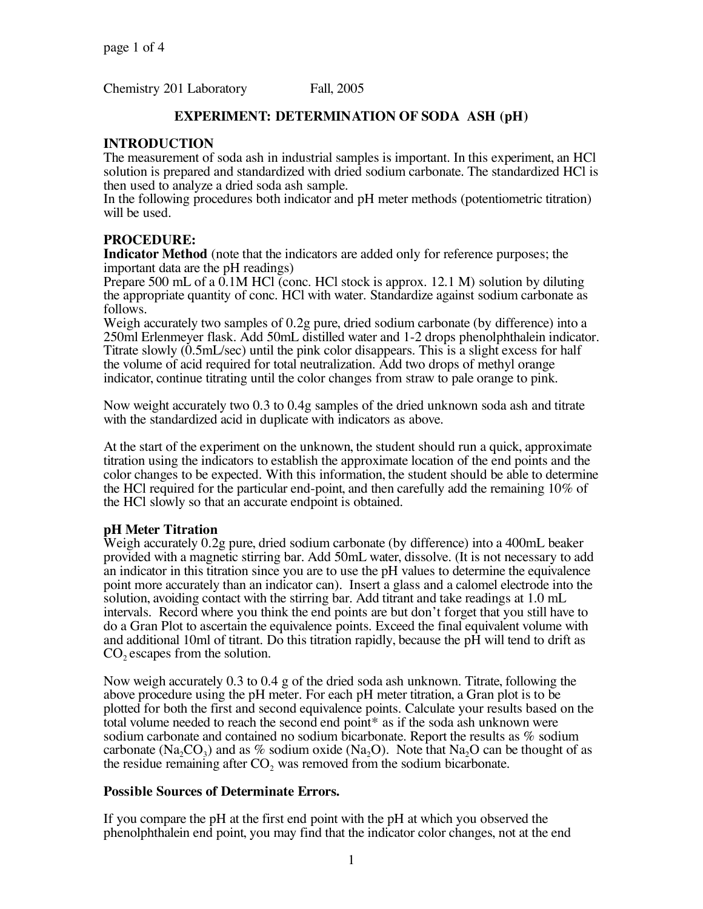Chemistry 201 Laboratory Fall, 2005

# **EXPERIMENT: DETERMINATION OF SODA ASH (pH)**

## **INTRODUCTION**

The measurement of soda ash in industrial samples is important. In this experiment, an HCl solution is prepared and standardized with dried sodium carbonate. The standardized HCl is then used to analyze a dried soda ash sample.

In the following procedures both indicator and pH meter methods (potentiometric titration) will be used.

## **PROCEDURE:**

**Indicator Method** (note that the indicators are added only for reference purposes; the important data are the pH readings)

Prepare 500 mL of a 0.1M HCl (conc. HCl stock is approx. 12.1 M) solution by diluting the appropriate quantity of conc. HCl with water. Standardize against sodium carbonate as follows.

Weigh accurately two samples of 0.2g pure, dried sodium carbonate (by difference) into a 250ml Erlenmeyer flask. Add 50mL distilled water and 1-2 drops phenolphthalein indicator.<br>Titrate slowly (0.5mL/sec) until the pink color disappears. This is a slight excess for half the volume of acid required for total neutralization. Add two drops of methyl orange indicator, continue titrating until the color changes from straw to pale orange to pink.

Now weight accurately two 0.3 to 0.4g samples of the dried unknown soda ash and titrate with the standardized acid in duplicate with indicators as above.

At the start of the experiment on the unknown, the student should run a quick, approximate titration using the indicators to establish the approximate location of the end points and the color changes to be expected. With this information, the student should be able to determine the HCl required for the particular end-point, and then carefully add the remaining 10% of the HCl slowly so that an accurate endpoint is obtained.

#### **pH Meter Titration**

Weigh accurately 0.2g pure, dried sodium carbonate (by difference) into a 400mL beaker provided with a magnetic stirring bar. Add 50mL water, dissolve. (It is not necessary to add an indicator in this titration since you are to use the pH values to determine the equivalence point more accurately than an indicator can). Insert a glass and a calomel electrode into the solution, avoiding contact with the stirring bar. Add titrant and take readings at 1.0 mL intervals. Record where you think the end points are but don't forget that you still have to do a Gran Plot to ascertain the equivalence points. Exceed the final equivalent volume with and additional 10ml of titrant. Do this titration rapidly, because the pH will tend to drift as  $CO$ , escapes from the solution.

Now weigh accurately 0.3 to 0.4 g of the dried soda ash unknown. Titrate, following the above procedure using the pH meter. For each pH meter titration, a Gran plot is to be plotted for both the first and second equivalence points. Calculate your results based on the total volume needed to reach the second end point\* as if the soda ash unknown were sodium carbonate and contained no sodium bicarbonate. Report the results as % sodium carbonate (Na<sub>2</sub>CO<sub>3</sub>) and as % sodium oxide (Na<sub>2</sub>O). Note that Na<sub>2</sub>O can be thought of as the residue remaining after  $CO<sub>2</sub>$  was removed from the sodium bicarbonate.

## **Possible Sources of Determinate Errors.**

If you compare the pH at the first end point with the pH at which you observed the phenolphthalein end point, you may find that the indicator color changes, not at the end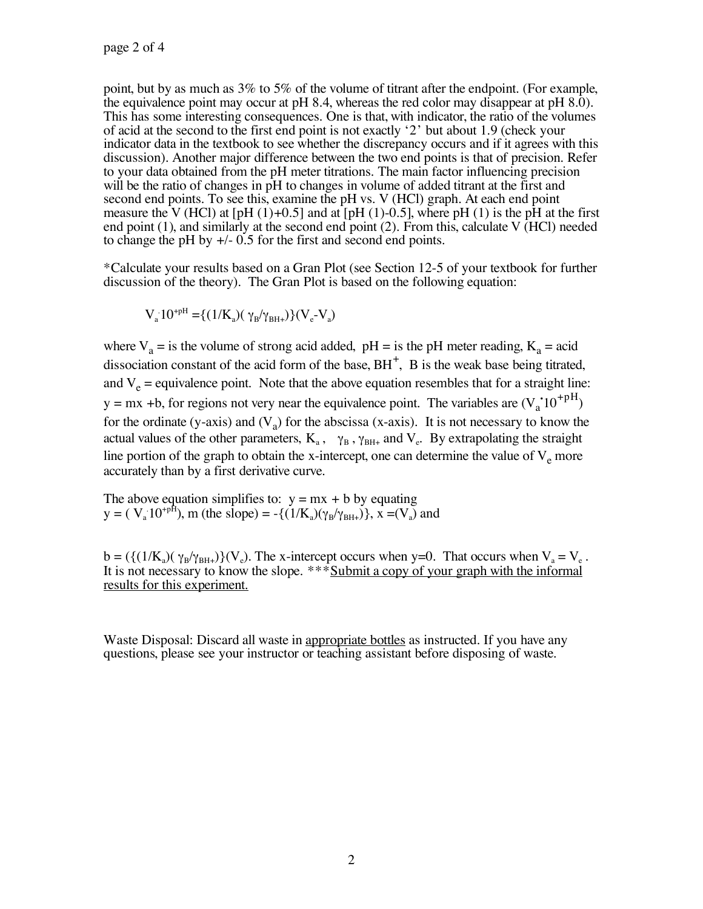point, but by as much as 3% to 5% of the volume of titrant after the endpoint. (For example, the equivalence point may occur at pH 8.4, whereas the red color may disappear at pH 8.0). This has some interesting consequences of acid at the second to the first end point is not exactly '2' but about 1.9 (check your indicator data in the textbook to see whether the discrepancy occurs and if it agrees with this discussion). Another major difference between the two end points is that of precision. Refer to your data obtained from the pH meter titrations. The main factor influencing precision will be the ratio of changes in pH to changes in volume of added titrant at the first and second end points. To see this, examine the pH vs. V (HCl) graph. At each end point measure the V (HCl) at [pH (1)+0.5] and at [pH (1)-0.5], where pH (1) is the pH at the first end point (1), and similarly at the second end point (2). From this, calculate V (HCl) needed to change the pH by +/- 0.5 for the first and second end points.

\*Calculate your results based on a Gran Plot (see Section 12-5 of your textbook for further discussion of the theory). The Gran Plot is based on the following equation:

$$
V_a 10^{+pH}\!=\!\!\{(1/K_a)(\,\gamma_B/\gamma_{BH+})\}(V_e\text{-}V_a)
$$

where  $V_a$  = is the volume of strong acid added, pH = is the pH meter reading,  $K_a$  = acid dissociation constant of the acid form of the base,  $BH^+$ ,  $B$  is the weak base being titrated, and  $V_e$  = equivalence point. Note that the above equation resembles that for a straight line:  $y = mx + b$ , for regions not very near the equivalence point. The variables are  $(V_a^1 10^{+pH})$ for the ordinate (y-axis) and  $(V_a)$  for the abscissa (x-axis). It is not necessary to know the actual values of the other parameters,  $K_a$ ,  $\gamma_B$ ,  $\gamma_{BH+}$  and  $V_e$ . By extrapolating the straight line portion of the graph to obtain the x-intercept, one can determine the value of  $V_e$  more accurately than by a first derivative curve.

The above equation simplifies to:  $y = mx + b$  by equating  $y = (V_a 10^{+pH})$ , m (the slope) = -{ $(1/K_a)(\gamma_B/\gamma_{BH+})$ }, x =( $V_a$ ) and

 $b = (\{(1/K_a)(\gamma_B/\gamma_{BH+})\}(V_e)$ . The x-intercept occurs when y=0. That occurs when  $V_a = V_e$ . It is not necessary to know the slope. \*\*\* Submit a copy of your graph with the informal results for this experiment.

Waste Disposal: Discard all waste in appropriate bottles as instructed. If you have any questions, please see your instructor or teaching assistant before disposing of waste.